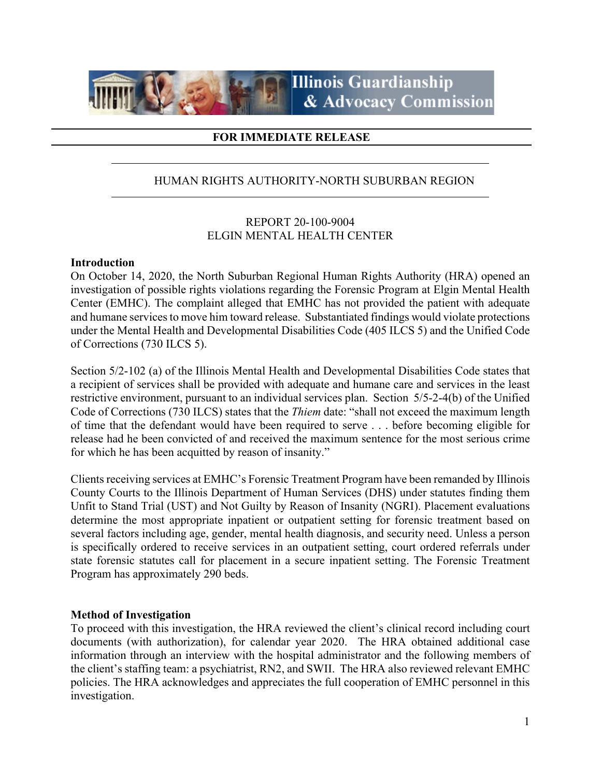

# **FOR IMMEDIATE RELEASE**

# HUMAN RIGHTS AUTHORITY-NORTH SUBURBAN REGION

## REPORT 20-100-9004 ELGIN MENTAL HEALTH CENTER

#### **Introduction**

On October 14, 2020, the North Suburban Regional Human Rights Authority (HRA) opened an investigation of possible rights violations regarding the Forensic Program at Elgin Mental Health Center (EMHC). The complaint alleged that EMHC has not provided the patient with adequate and humane services to move him toward release. Substantiated findings would violate protections under the Mental Health and Developmental Disabilities Code (405 ILCS 5) and the Unified Code of Corrections (730 ILCS 5).

Section 5/2-102 (a) of the Illinois Mental Health and Developmental Disabilities Code states that a recipient of services shall be provided with adequate and humane care and services in the least restrictive environment, pursuant to an individual services plan. Section 5/5-2-4(b) of the Unified Code of Corrections (730 ILCS) states that the *Thiem* date: "shall not exceed the maximum length of time that the defendant would have been required to serve . . . before becoming eligible for release had he been convicted of and received the maximum sentence for the most serious crime for which he has been acquitted by reason of insanity."

Clients receiving services at EMHC's Forensic Treatment Program have been remanded by Illinois County Courts to the Illinois Department of Human Services (DHS) under statutes finding them Unfit to Stand Trial (UST) and Not Guilty by Reason of Insanity (NGRI). Placement evaluations determine the most appropriate inpatient or outpatient setting for forensic treatment based on several factors including age, gender, mental health diagnosis, and security need. Unless a person is specifically ordered to receive services in an outpatient setting, court ordered referrals under state forensic statutes call for placement in a secure inpatient setting. The Forensic Treatment Program has approximately 290 beds.

#### **Method of Investigation**

To proceed with this investigation, the HRA reviewed the client's clinical record including court documents (with authorization), for calendar year 2020. The HRA obtained additional case information through an interview with the hospital administrator and the following members of the client's staffing team: a psychiatrist, RN2, and SWII. The HRA also reviewed relevant EMHC policies. The HRA acknowledges and appreciates the full cooperation of EMHC personnel in this investigation.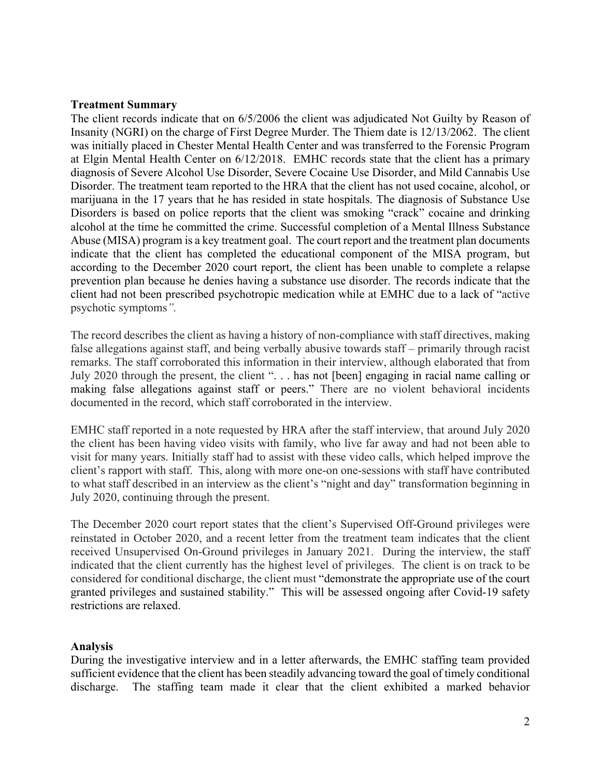### **Treatment Summary**

The client records indicate that on 6/5/2006 the client was adjudicated Not Guilty by Reason of Insanity (NGRI) on the charge of First Degree Murder. The Thiem date is 12/13/2062. The client was initially placed in Chester Mental Health Center and was transferred to the Forensic Program at Elgin Mental Health Center on 6/12/2018. EMHC records state that the client has a primary diagnosis of Severe Alcohol Use Disorder, Severe Cocaine Use Disorder, and Mild Cannabis Use Disorder. The treatment team reported to the HRA that the client has not used cocaine, alcohol, or marijuana in the 17 years that he has resided in state hospitals. The diagnosis of Substance Use Disorders is based on police reports that the client was smoking "crack" cocaine and drinking alcohol at the time he committed the crime. Successful completion of a Mental Illness Substance Abuse (MISA) program is a key treatment goal. The court report and the treatment plan documents indicate that the client has completed the educational component of the MISA program, but according to the December 2020 court report, the client has been unable to complete a relapse prevention plan because he denies having a substance use disorder. The records indicate that the client had not been prescribed psychotropic medication while at EMHC due to a lack of "active psychotic symptoms*".* 

The record describes the client as having a history of non-compliance with staff directives, making false allegations against staff, and being verbally abusive towards staff – primarily through racist remarks. The staff corroborated this information in their interview, although elaborated that from July 2020 through the present, the client ". . . has not [been] engaging in racial name calling or making false allegations against staff or peers." There are no violent behavioral incidents documented in the record, which staff corroborated in the interview.

EMHC staff reported in a note requested by HRA after the staff interview, that around July 2020 the client has been having video visits with family, who live far away and had not been able to visit for many years. Initially staff had to assist with these video calls, which helped improve the client's rapport with staff. This, along with more one-on one-sessions with staff have contributed to what staff described in an interview as the client's "night and day" transformation beginning in July 2020, continuing through the present.

The December 2020 court report states that the client's Supervised Off-Ground privileges were reinstated in October 2020, and a recent letter from the treatment team indicates that the client received Unsupervised On-Ground privileges in January 2021. During the interview, the staff indicated that the client currently has the highest level of privileges. The client is on track to be considered for conditional discharge, the client must "demonstrate the appropriate use of the court granted privileges and sustained stability." This will be assessed ongoing after Covid-19 safety restrictions are relaxed.

## **Analysis**

During the investigative interview and in a letter afterwards, the EMHC staffing team provided sufficient evidence that the client has been steadily advancing toward the goal of timely conditional discharge. The staffing team made it clear that the client exhibited a marked behavior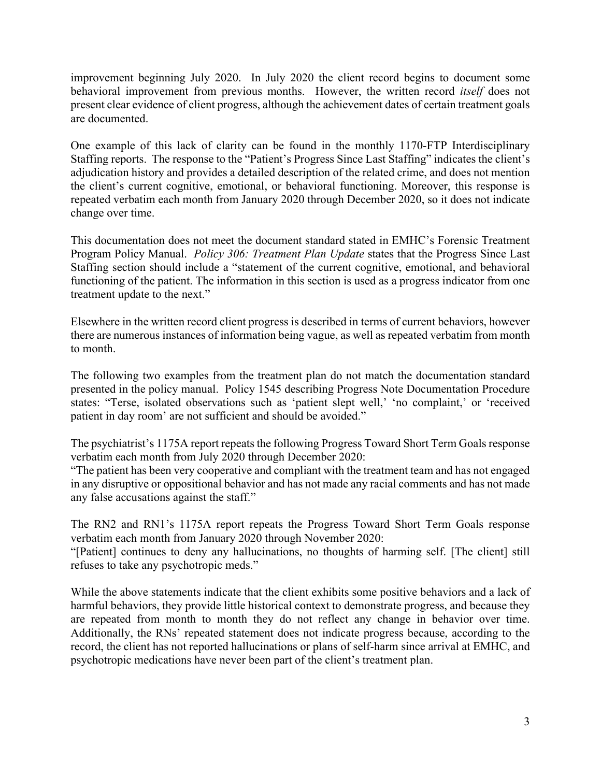improvement beginning July 2020. In July 2020 the client record begins to document some behavioral improvement from previous months. However, the written record *itself* does not present clear evidence of client progress, although the achievement dates of certain treatment goals are documented.

One example of this lack of clarity can be found in the monthly 1170-FTP Interdisciplinary Staffing reports. The response to the "Patient's Progress Since Last Staffing" indicates the client's adjudication history and provides a detailed description of the related crime, and does not mention the client's current cognitive, emotional, or behavioral functioning. Moreover, this response is repeated verbatim each month from January 2020 through December 2020, so it does not indicate change over time.

This documentation does not meet the document standard stated in EMHC's Forensic Treatment Program Policy Manual. *Policy 306: Treatment Plan Update* states that the Progress Since Last Staffing section should include a "statement of the current cognitive, emotional, and behavioral functioning of the patient. The information in this section is used as a progress indicator from one treatment update to the next."

Elsewhere in the written record client progress is described in terms of current behaviors, however there are numerous instances of information being vague, as well as repeated verbatim from month to month.

The following two examples from the treatment plan do not match the documentation standard presented in the policy manual. Policy 1545 describing Progress Note Documentation Procedure states: "Terse, isolated observations such as 'patient slept well,' 'no complaint,' or 'received patient in day room' are not sufficient and should be avoided."

The psychiatrist's 1175A report repeats the following Progress Toward Short Term Goals response verbatim each month from July 2020 through December 2020:

"The patient has been very cooperative and compliant with the treatment team and has not engaged in any disruptive or oppositional behavior and has not made any racial comments and has not made any false accusations against the staff."

The RN2 and RN1's 1175A report repeats the Progress Toward Short Term Goals response verbatim each month from January 2020 through November 2020:

"[Patient] continues to deny any hallucinations, no thoughts of harming self. [The client] still refuses to take any psychotropic meds."

While the above statements indicate that the client exhibits some positive behaviors and a lack of harmful behaviors, they provide little historical context to demonstrate progress, and because they are repeated from month to month they do not reflect any change in behavior over time. Additionally, the RNs' repeated statement does not indicate progress because, according to the record, the client has not reported hallucinations or plans of self-harm since arrival at EMHC, and psychotropic medications have never been part of the client's treatment plan.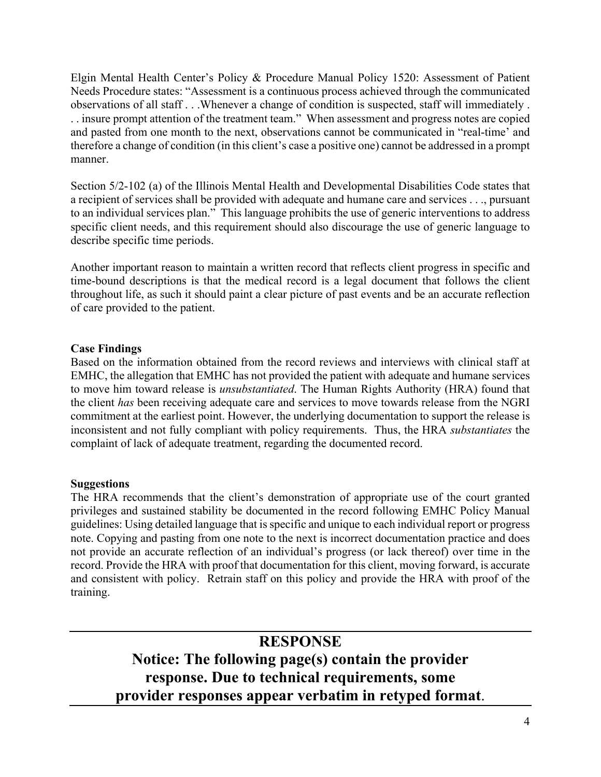Elgin Mental Health Center's Policy & Procedure Manual Policy 1520: Assessment of Patient Needs Procedure states: "Assessment is a continuous process achieved through the communicated observations of all staff . . .Whenever a change of condition is suspected, staff will immediately . . . insure prompt attention of the treatment team." When assessment and progress notes are copied and pasted from one month to the next, observations cannot be communicated in "real-time' and therefore a change of condition (in this client's case a positive one) cannot be addressed in a prompt manner.

Section 5/2-102 (a) of the Illinois Mental Health and Developmental Disabilities Code states that a recipient of services shall be provided with adequate and humane care and services . . ., pursuant to an individual services plan." This language prohibits the use of generic interventions to address specific client needs, and this requirement should also discourage the use of generic language to describe specific time periods.

Another important reason to maintain a written record that reflects client progress in specific and time-bound descriptions is that the medical record is a legal document that follows the client throughout life, as such it should paint a clear picture of past events and be an accurate reflection of care provided to the patient.

# **Case Findings**

Based on the information obtained from the record reviews and interviews with clinical staff at EMHC, the allegation that EMHC has not provided the patient with adequate and humane services to move him toward release is *unsubstantiated*. The Human Rights Authority (HRA) found that the client *has* been receiving adequate care and services to move towards release from the NGRI commitment at the earliest point. However, the underlying documentation to support the release is inconsistent and not fully compliant with policy requirements. Thus, the HRA *substantiates* the complaint of lack of adequate treatment, regarding the documented record.

# **Suggestions**

The HRA recommends that the client's demonstration of appropriate use of the court granted privileges and sustained stability be documented in the record following EMHC Policy Manual guidelines: Using detailed language that is specific and unique to each individual report or progress note. Copying and pasting from one note to the next is incorrect documentation practice and does not provide an accurate reflection of an individual's progress (or lack thereof) over time in the record. Provide the HRA with proof that documentation for this client, moving forward, is accurate and consistent with policy. Retrain staff on this policy and provide the HRA with proof of the training.

# **RESPONSE**

**Notice: The following page(s) contain the provider response. Due to technical requirements, some provider responses appear verbatim in retyped format**.